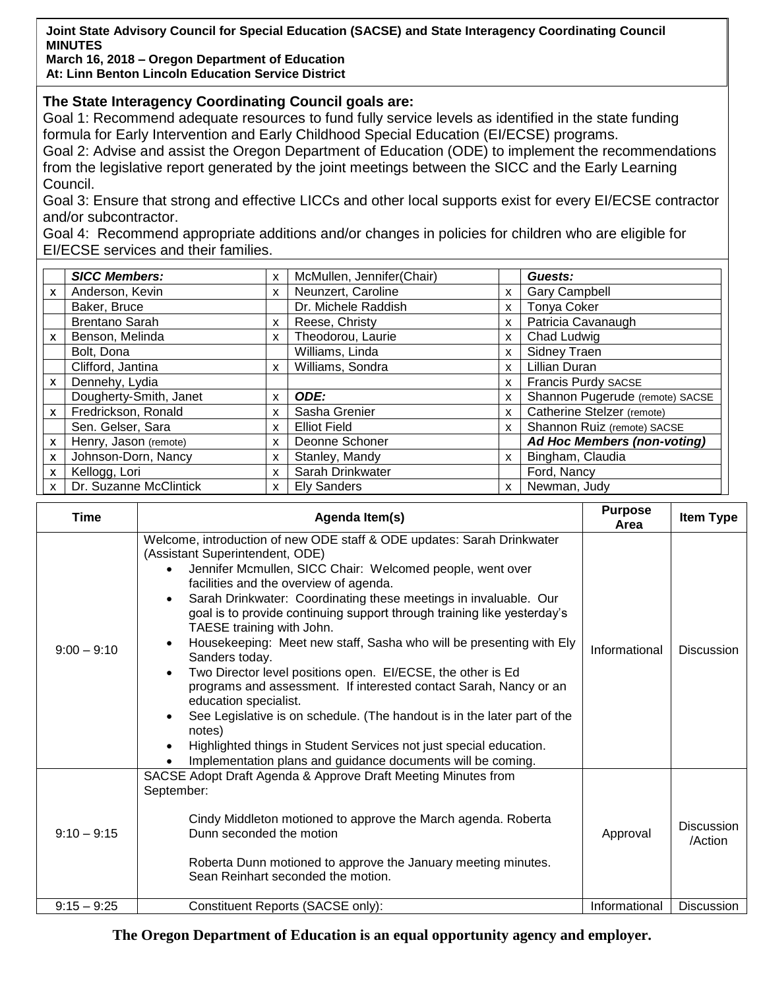**Joint State Advisory Council for Special Education (SACSE) and State Interagency Coordinating Council MINUTES**

**March 16, 2018 – Oregon Department of Education At: Linn Benton Lincoln Education Service District**

## **The State Interagency Coordinating Council goals are:**

Goal 1: Recommend adequate resources to fund fully service levels as identified in the state funding formula for Early Intervention and Early Childhood Special Education (EI/ECSE) programs.

Goal 2: Advise and assist the Oregon Department of Education (ODE) to implement the recommendations from the legislative report generated by the joint meetings between the SICC and the Early Learning Council.

Goal 3: Ensure that strong and effective LICCs and other local supports exist for every EI/ECSE contractor and/or subcontractor.

Goal 4: Recommend appropriate additions and/or changes in policies for children who are eligible for EI/ECSE services and their families.

|              | <b>SICC Members:</b>   | X | McMullen, Jennifer(Chair) |          | Guests:                            |
|--------------|------------------------|---|---------------------------|----------|------------------------------------|
| X            | Anderson, Kevin        | X | Neunzert, Caroline        | X        | <b>Gary Campbell</b>               |
|              | Baker, Bruce           |   | Dr. Michele Raddish       | x        | <b>Tonya Coker</b>                 |
|              | <b>Brentano Sarah</b>  | X | Reese, Christy            | X        | Patricia Cavanaugh                 |
| X            | Benson, Melinda        | X | Theodorou, Laurie         | X        | Chad Ludwig                        |
|              | Bolt, Dona             |   | Williams, Linda           | X.       | <b>Sidney Traen</b>                |
|              | Clifford, Jantina      | X | Williams, Sondra          | <b>X</b> | <b>Lillian Duran</b>               |
| X            | Dennehy, Lydia         |   |                           | <b>X</b> | <b>Francis Purdy SACSE</b>         |
|              | Dougherty-Smith, Janet | X | ODE:                      | x        | Shannon Pugerude (remote) SACSE    |
| $\mathsf{x}$ | Fredrickson, Ronald    | X | Sasha Grenier             | X        | Catherine Stelzer (remote)         |
|              | Sen. Gelser, Sara      | X | <b>Elliot Field</b>       | <b>X</b> | Shannon Ruiz (remote) SACSE        |
| X            | Henry, Jason (remote)  | x | Deonne Schoner            |          | <b>Ad Hoc Members (non-voting)</b> |
| X            | Johnson-Dorn, Nancy    | X | Stanley, Mandy            | <b>X</b> | Bingham, Claudia                   |
| X            | Kellogg, Lori          | X | Sarah Drinkwater          |          | Ford, Nancy                        |
| $\mathsf{x}$ | Dr. Suzanne McClintick | X | <b>Ely Sanders</b>        | X.       | Newman, Judy                       |

| Time          | Agenda Item(s)                                                                                                                                                                                                                                                                                                                                                                                                                                                                                                                                                                                                                                                                                                                                                                                                                                                                | <b>Purpose</b><br>Area | <b>Item Type</b>             |
|---------------|-------------------------------------------------------------------------------------------------------------------------------------------------------------------------------------------------------------------------------------------------------------------------------------------------------------------------------------------------------------------------------------------------------------------------------------------------------------------------------------------------------------------------------------------------------------------------------------------------------------------------------------------------------------------------------------------------------------------------------------------------------------------------------------------------------------------------------------------------------------------------------|------------------------|------------------------------|
| $9:00 - 9:10$ | Welcome, introduction of new ODE staff & ODE updates: Sarah Drinkwater<br>(Assistant Superintendent, ODE)<br>Jennifer Mcmullen, SICC Chair: Welcomed people, went over<br>facilities and the overview of agenda.<br>Sarah Drinkwater: Coordinating these meetings in invaluable. Our<br>goal is to provide continuing support through training like yesterday's<br>TAESE training with John.<br>Housekeeping: Meet new staff, Sasha who will be presenting with Ely<br>Sanders today.<br>Two Director level positions open. El/ECSE, the other is Ed<br>programs and assessment. If interested contact Sarah, Nancy or an<br>education specialist.<br>See Legislative is on schedule. (The handout is in the later part of the<br>notes)<br>Highlighted things in Student Services not just special education.<br>Implementation plans and guidance documents will be coming. | Informational          | <b>Discussion</b>            |
| $9:10 - 9:15$ | SACSE Adopt Draft Agenda & Approve Draft Meeting Minutes from<br>September:<br>Cindy Middleton motioned to approve the March agenda. Roberta<br>Dunn seconded the motion<br>Roberta Dunn motioned to approve the January meeting minutes.<br>Sean Reinhart seconded the motion.                                                                                                                                                                                                                                                                                                                                                                                                                                                                                                                                                                                               | Approval               | <b>Discussion</b><br>/Action |
| $9:15 - 9:25$ | Constituent Reports (SACSE only):                                                                                                                                                                                                                                                                                                                                                                                                                                                                                                                                                                                                                                                                                                                                                                                                                                             | Informational          | <b>Discussion</b>            |

**The Oregon Department of Education is an equal opportunity agency and employer.**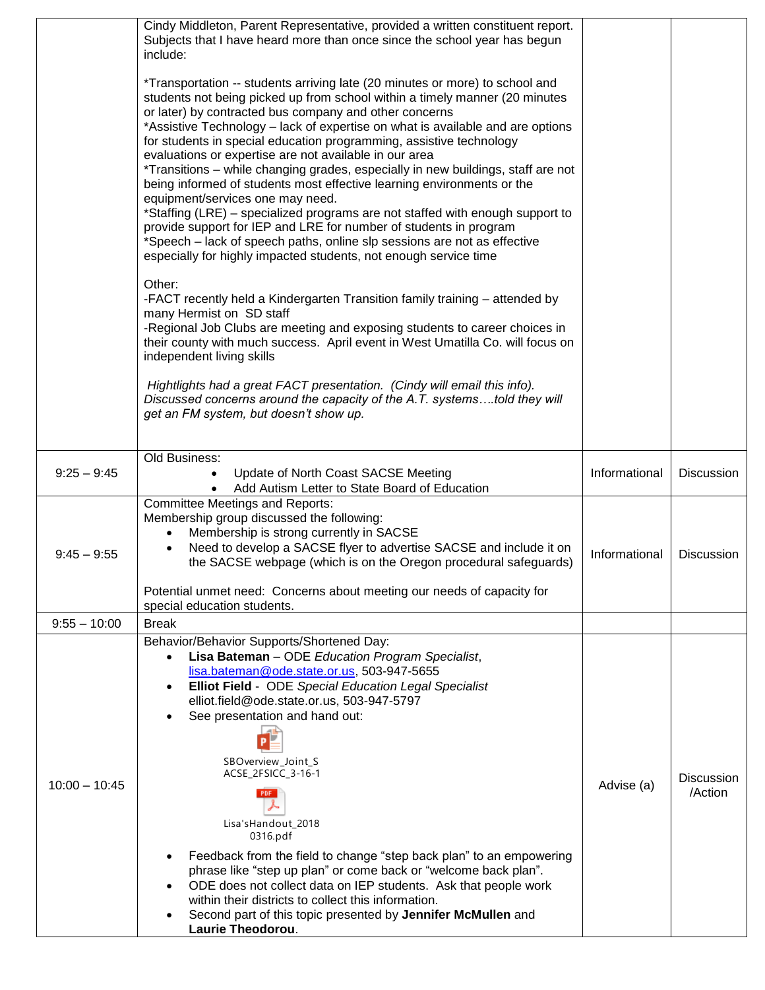|                 | Cindy Middleton, Parent Representative, provided a written constituent report.<br>Subjects that I have heard more than once since the school year has begun<br>include:                                                                                                                                                                                                                                                                                                                                                                                                                                                                                                                                                                                                                                                                                                                                                                          |               |                              |
|-----------------|--------------------------------------------------------------------------------------------------------------------------------------------------------------------------------------------------------------------------------------------------------------------------------------------------------------------------------------------------------------------------------------------------------------------------------------------------------------------------------------------------------------------------------------------------------------------------------------------------------------------------------------------------------------------------------------------------------------------------------------------------------------------------------------------------------------------------------------------------------------------------------------------------------------------------------------------------|---------------|------------------------------|
|                 | *Transportation -- students arriving late (20 minutes or more) to school and<br>students not being picked up from school within a timely manner (20 minutes<br>or later) by contracted bus company and other concerns<br>*Assistive Technology - lack of expertise on what is available and are options<br>for students in special education programming, assistive technology<br>evaluations or expertise are not available in our area<br>*Transitions - while changing grades, especially in new buildings, staff are not<br>being informed of students most effective learning environments or the<br>equipment/services one may need.<br>*Staffing (LRE) - specialized programs are not staffed with enough support to<br>provide support for IEP and LRE for number of students in program<br>*Speech - lack of speech paths, online slp sessions are not as effective<br>especially for highly impacted students, not enough service time |               |                              |
|                 | Other:<br>-FACT recently held a Kindergarten Transition family training – attended by<br>many Hermist on SD staff<br>-Regional Job Clubs are meeting and exposing students to career choices in<br>their county with much success. April event in West Umatilla Co. will focus on<br>independent living skills                                                                                                                                                                                                                                                                                                                                                                                                                                                                                                                                                                                                                                   |               |                              |
|                 | Hightlights had a great FACT presentation. (Cindy will email this info).<br>Discussed concerns around the capacity of the A.T. systemstold they will<br>get an FM system, but doesn't show up.                                                                                                                                                                                                                                                                                                                                                                                                                                                                                                                                                                                                                                                                                                                                                   |               |                              |
| $9:25 - 9:45$   | Old Business:<br>Update of North Coast SACSE Meeting<br>Add Autism Letter to State Board of Education                                                                                                                                                                                                                                                                                                                                                                                                                                                                                                                                                                                                                                                                                                                                                                                                                                            | Informational | <b>Discussion</b>            |
| $9:45 - 9:55$   | <b>Committee Meetings and Reports:</b><br>Membership group discussed the following:<br>Membership is strong currently in SACSE<br>$\bullet$<br>Need to develop a SACSE flyer to advertise SACSE and include it on<br>the SACSE webpage (which is on the Oregon procedural safeguards)<br>Potential unmet need: Concerns about meeting our needs of capacity for                                                                                                                                                                                                                                                                                                                                                                                                                                                                                                                                                                                  | Informational | Discussion                   |
| $9:55 - 10:00$  | special education students.<br><b>Break</b>                                                                                                                                                                                                                                                                                                                                                                                                                                                                                                                                                                                                                                                                                                                                                                                                                                                                                                      |               |                              |
| $10:00 - 10:45$ | Behavior/Behavior Supports/Shortened Day:<br>Lisa Bateman - ODE Education Program Specialist,<br>$\bullet$<br>lisa.bateman@ode.state.or.us, 503-947-5655<br>Elliot Field - ODE Special Education Legal Specialist<br>$\bullet$<br>elliot.field@ode.state.or.us, 503-947-5797<br>See presentation and hand out:<br>SBOverview_Joint_S<br>ACSE_2FSICC_3-16-1<br>PDF.<br>Lisa'sHandout_2018<br>0316.pdf<br>Feedback from the field to change "step back plan" to an empowering<br>phrase like "step up plan" or come back or "welcome back plan".<br>ODE does not collect data on IEP students. Ask that people work<br>$\bullet$<br>within their districts to collect this information.<br>Second part of this topic presented by Jennifer McMullen and<br>Laurie Theodorou.                                                                                                                                                                       | Advise (a)    | <b>Discussion</b><br>/Action |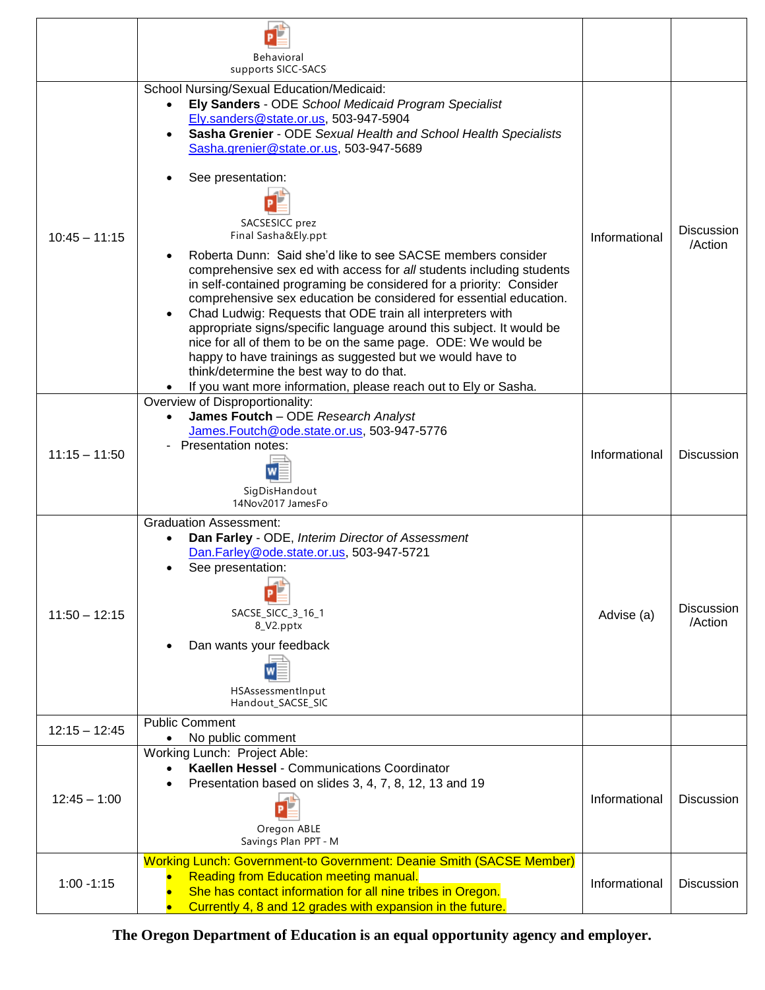|                 | Behavioral<br>supports SICC-SACS                                                                                                                                                                                                                                                                                                                                                                                                                                                                                                                                                                                                                                                                                                                                                                                                                                                                                                                                                              |               |                              |
|-----------------|-----------------------------------------------------------------------------------------------------------------------------------------------------------------------------------------------------------------------------------------------------------------------------------------------------------------------------------------------------------------------------------------------------------------------------------------------------------------------------------------------------------------------------------------------------------------------------------------------------------------------------------------------------------------------------------------------------------------------------------------------------------------------------------------------------------------------------------------------------------------------------------------------------------------------------------------------------------------------------------------------|---------------|------------------------------|
| $10:45 - 11:15$ | School Nursing/Sexual Education/Medicaid:<br>Ely Sanders - ODE School Medicaid Program Specialist<br>Ely.sanders@state.or.us, 503-947-5904<br>Sasha Grenier - ODE Sexual Health and School Health Specialists<br>Sasha.grenier@state.or.us, 503-947-5689<br>See presentation:<br>SACSESICC prez<br>Final Sasha&Ely.ppt<br>Roberta Dunn: Said she'd like to see SACSE members consider<br>comprehensive sex ed with access for all students including students<br>in self-contained programing be considered for a priority: Consider<br>comprehensive sex education be considered for essential education.<br>Chad Ludwig: Requests that ODE train all interpreters with<br>appropriate signs/specific language around this subject. It would be<br>nice for all of them to be on the same page. ODE: We would be<br>happy to have trainings as suggested but we would have to<br>think/determine the best way to do that.<br>If you want more information, please reach out to Ely or Sasha. | Informational | <b>Discussion</b><br>/Action |
| $11:15 - 11:50$ | Overview of Disproportionality:<br>James Foutch - ODE Research Analyst<br>James.Foutch@ode.state.or.us, 503-947-5776<br>Presentation notes:<br>SigDisHandout<br>14Nov2017 JamesFo                                                                                                                                                                                                                                                                                                                                                                                                                                                                                                                                                                                                                                                                                                                                                                                                             | Informational | <b>Discussion</b>            |
| $11:50 - 12:15$ | <b>Graduation Assessment:</b><br>Dan Farley - ODE, Interim Director of Assessment<br>Dan.Farley@ode.state.or.us, 503-947-5721<br>See presentation:<br>SACSE_SICC_3_16_1<br>8_V2.pptx<br>Dan wants your feedback<br>HSAssessmentInput<br>Handout_SACSE_SIC                                                                                                                                                                                                                                                                                                                                                                                                                                                                                                                                                                                                                                                                                                                                     | Advise (a)    | <b>Discussion</b><br>/Action |
| $12:15 - 12:45$ | <b>Public Comment</b><br>No public comment                                                                                                                                                                                                                                                                                                                                                                                                                                                                                                                                                                                                                                                                                                                                                                                                                                                                                                                                                    |               |                              |
| $12:45 - 1:00$  | Working Lunch: Project Able:<br>Kaellen Hessel - Communications Coordinator<br>Presentation based on slides 3, 4, 7, 8, 12, 13 and 19<br>Oregon ABLE<br>Savings Plan PPT - M                                                                                                                                                                                                                                                                                                                                                                                                                                                                                                                                                                                                                                                                                                                                                                                                                  | Informational | <b>Discussion</b>            |
| $1:00 - 1:15$   | Working Lunch: Government-to Government: Deanie Smith (SACSE Member)<br><b>Reading from Education meeting manual.</b><br>She has contact information for all nine tribes in Oregon.<br>Currently 4, 8 and 12 grades with expansion in the future.                                                                                                                                                                                                                                                                                                                                                                                                                                                                                                                                                                                                                                                                                                                                             | Informational | <b>Discussion</b>            |

**The Oregon Department of Education is an equal opportunity agency and employer.**